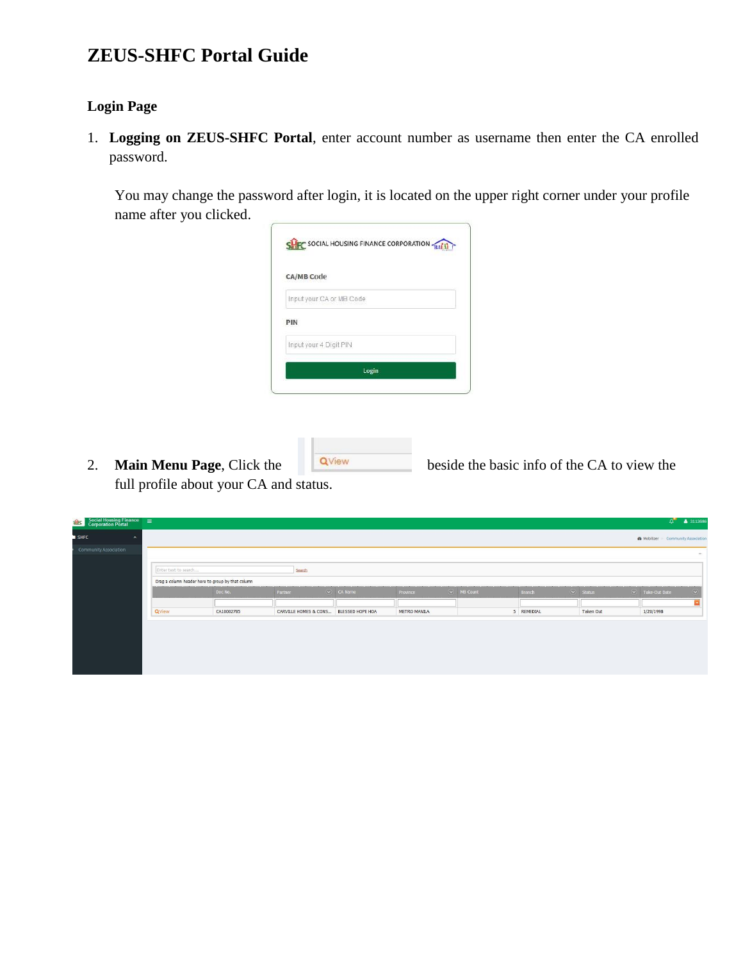## **ZEUS-SHFC Portal Guide**

## **Login Page**

1. **Logging on ZEUS-SHFC Portal**, enter account number as username then enter the CA enrolled password.

You may change the password after login, it is located on the upper right corner under your profile name after you clicked.

| <b>CA/MB Code</b>      |                          |       |  |
|------------------------|--------------------------|-------|--|
|                        | Input your CA or MB Code |       |  |
| PIN                    |                          |       |  |
| Input your 4 Digit PIN |                          |       |  |
|                        |                          | Login |  |

2. **Main Menu Page**, Click the **QView** beside the basic info of the CA to view the full profile about your CA and status.

| $SET UP:$ Corporation Portal $=$ |                      |                                                   |                                        |                                 |              |                              |            |                     | المهاد                                         | $-2110000$     |
|----------------------------------|----------------------|---------------------------------------------------|----------------------------------------|---------------------------------|--------------|------------------------------|------------|---------------------|------------------------------------------------|----------------|
| $\sim$                           |                      |                                                   |                                        |                                 |              |                              |            |                     | <b>&amp;</b> Mobilizer > Community Association |                |
| Community Association            |                      |                                                   |                                        |                                 |              |                              |            |                     |                                                | $\sim$         |
|                                  | Enter text to search |                                                   | Search                                 |                                 |              |                              |            |                     |                                                |                |
|                                  |                      | Drag a column header here to group by that column |                                        |                                 |              |                              |            |                     |                                                |                |
|                                  |                      | Doc No.                                           | Partner                                | $\left(\sqrt{2}\right)$ CA Name | Province     | $\overline{(\vee)}$ MB Count | Branch     | $\heartsuit$ Status | $\sqrt{ }$ Take-Out Date                       | $\circledcirc$ |
|                                  | QView                | CA10002785                                        | CARVILLE HOMES & CONS BLESSED HOPE HOA |                                 | METRO MANILA |                              | 5 REMEDIAL | Taken Out           | 1/20/1998                                      |                |